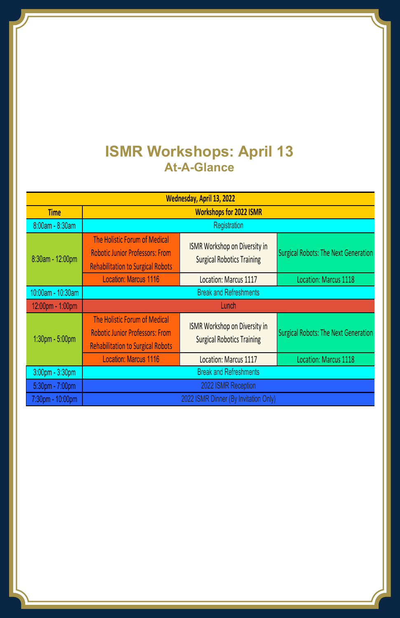## **ISMR Workshops: April 13 At-A-Glance**

| Wednesday, April 13, 2022 |                                                                                                                     |                                                                           |                                             |  |  |
|---------------------------|---------------------------------------------------------------------------------------------------------------------|---------------------------------------------------------------------------|---------------------------------------------|--|--|
| <b>Time</b>               | <b>Workshops for 2022 ISMR</b>                                                                                      |                                                                           |                                             |  |  |
| 8:00am - 8:30am           | Registration                                                                                                        |                                                                           |                                             |  |  |
| 8:30am - 12:00pm          | The Holistic Forum of Medical<br><b>Robotic Junior Professors: From</b><br><b>Rehabilitation to Surgical Robots</b> | ISMR Workshop on Diversity in<br><b>Surgical Robotics Training</b>        | <b>Surgical Robots: The Next Generation</b> |  |  |
|                           | <b>Location: Marcus 1116</b>                                                                                        | Location: Marcus 1117                                                     | Location: Marcus 1118                       |  |  |
| 10:00am - 10:30am         | <b>Break and Refreshments</b>                                                                                       |                                                                           |                                             |  |  |
| 12:00pm - 1:00pm          | Lunch                                                                                                               |                                                                           |                                             |  |  |
| 1:30pm - 5:00pm           | The Holistic Forum of Medical<br><b>Robotic Junior Professors: From</b><br><b>Rehabilitation to Surgical Robots</b> | <b>ISMR Workshop on Diversity in</b><br><b>Surgical Robotics Training</b> | <b>Surgical Robots: The Next Generation</b> |  |  |
|                           | <b>Location: Marcus 1116</b>                                                                                        | Location: Marcus 1117                                                     | Location: Marcus 1118                       |  |  |
| $3:00$ pm - $3:30$ pm     | <b>Break and Refreshments</b>                                                                                       |                                                                           |                                             |  |  |
| 5:30pm - 7:00pm           | 2022 ISMR Reception                                                                                                 |                                                                           |                                             |  |  |
| 7:30pm - 10:00pm          | 2022 ISMR Dinner (By Invitation Only)                                                                               |                                                                           |                                             |  |  |